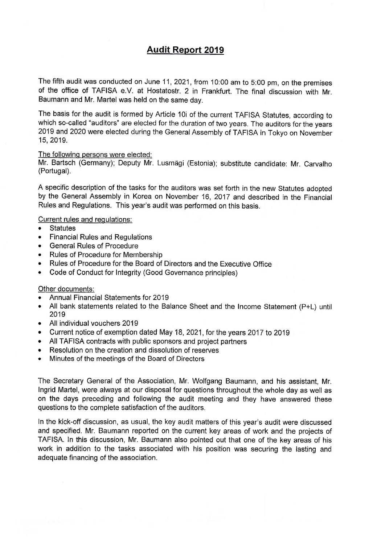# Audit Report 2019

The fifth audit was conducted on June 11, 2021, from 10:00 am to 5:00 pm, on the premises of the office of TAFISA e.V, at Hostatostr. 2 in Frankfurt. The final discussion with Mr. Baumann and Mr. Martel was held on the same day.

The basis for the audit is formed by Article 10i of the current TAFISA Statutes, according to which so-called "auditors" are elected for the duration of two years, The auditors for the years 2019 and 2020 were elected during the General Assembly of TAFISA in Tokyo on November 15,2019.

### The following persons were elected:

Mr. Bartsch (Germany); Deputy Mr. Lusmägi (Estonia); substitute candidate: Mr. Carvalho (Portugal).

A specific description of the tasks for the auditors was set forth in the new Statutes adopted by the General Assembly in Korea on November 16, 2017 and described in the Financial Rules and Regulations. This year's audit was performed on this basis.

### Current rules and requlationg:

- . Statutes
- . Financial Rules and Regulations
- . General Rules of Procedure
- . Rules of Procedure for Membership
- . Rules of Ptocedure for the Board of Directors and the Executive Office
- . Code of Conduct for Integrity (Good Governance principles)

### Other documents:

- Annual Financial Statements for 2019
- . All bank statements related to the Balance Sheet and the Income Statement (P+L) until 2019
- . All individualvouchers <sup>2019</sup>
- o Current notice of exemption dated May 18,2021, for the years 2017 to <sup>2019</sup>
- . All TAFISA contracts with public sponsors and project partners
- Resolution on the creation and dissolution of reserves
- Minutes of the meetings of the Board of Directors

The Secretary General of the Association, Mr. Wolfgang Baumann, and his assistant, Mr. Ingrid Martel, were always at our disposal for questions throughout the whole day as well as on the days preceding and following the audit meeting and they have answered these questions to the complete satisfaction of the auditors.

In the kick-off discussion, as usual, the key audit matters of this year's audit were discussed and specified. Mr. Baumann reported on the current key areas of work and the projects of TAFISA. In this discussion, Mr. Baumann also pointed out that one of the key areas of his work in addition to the tasks associated with his position was securing the lasting and adequate financing of the association.